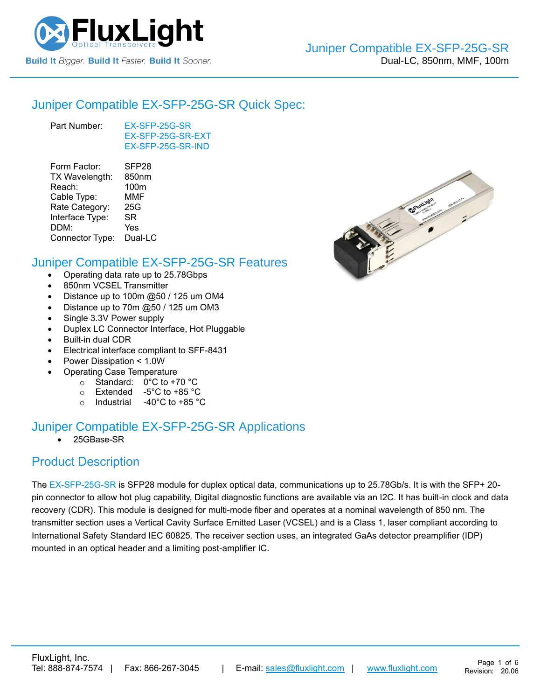

#### [Juniper Compatible](https://www.fluxlight.com/ex-sfp-25g-sr/) EX-SFP-25G-SR Quick Spec:

Part Number: [EX-SFP-25G-SR](https://www.fluxlight.com/ex-sfp-25g-sr/) [EX-SFP-25G-SR-](https://www.fluxlight.com/ex-sfp-25g-sr/)EXT [EX-SFP-25G-SR-](https://www.fluxlight.com/ex-sfp-25g-sr/)IND

| Form Factor:    | SFP <sub>28</sub> |
|-----------------|-------------------|
| TX Wavelength:  | 850nm             |
| Reach:          | 100m              |
| Cable Type:     | MMF               |
| Rate Category:  | 25G               |
| Interface Type: | SR                |
| DDM:            | Yes               |
| Connector Type: | Dual-LC           |
|                 |                   |

#### [Juniper Compatible](https://www.fluxlight.com/ex-sfp-25g-sr/) EX-SFP-25G-SR Features

- Operating data rate up to 25.78Gbps
- 850nm VCSEL Transmitter
- Distance up to 100m @50 / 125 um OM4
- Distance up to 70m @50 / 125 um OM3
- Single 3.3V Power supply
- Duplex LC Connector Interface, Hot Pluggable
- Built-in dual CDR
- Electrical interface compliant to SFF-8431
- Power Dissipation < 1.0W
	- Operating Case Temperature
		- o Standard: 0°C to +70 °C
		- o Extended -5°C to +85 °C
		- o Industrial -40°C to +85 °C

## [Juniper Compatible](https://www.fluxlight.com/ex-sfp-25g-sr/) EX-SFP-25G-SR Applications

• 25GBase-SR

## Product Description

The [EX-SFP-25G-SR](https://www.fluxlight.com/ex-sfp-25g-sr/) is SFP28 module for duplex optical data, communications up to 25.78Gb/s. It is with the SFP+ 20 pin connector to allow hot plug capability, Digital diagnostic functions are available via an I2C. It has built-in clock and data recovery (CDR). This module is designed for multi-mode fiber and operates at a nominal wavelength of 850 nm. The transmitter section uses a Vertical Cavity Surface Emitted Laser (VCSEL) and is a Class 1, laser compliant according to International Safety Standard IEC 60825. The receiver section uses, an integrated GaAs detector preamplifier (IDP) mounted in an optical header and a limiting post-amplifier IC.

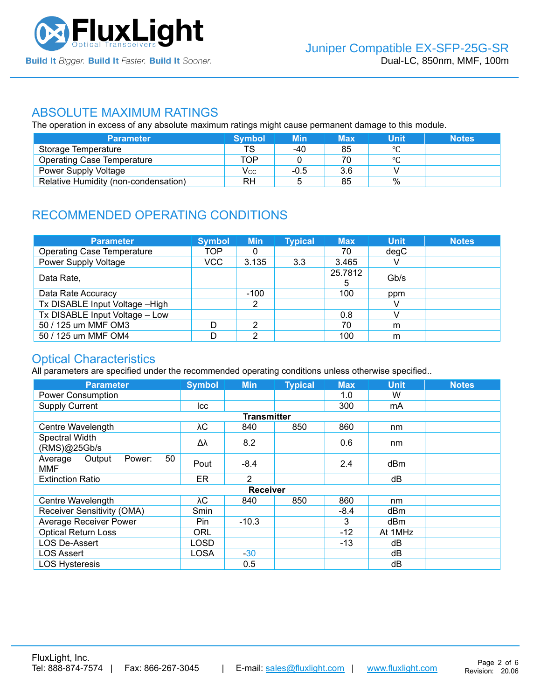

#### ABSOLUTE MAXIMUM RATINGS

The operation in excess of any absolute maximum ratings might cause permanent damage to this module.

| <b>Parameter</b>                     | <b>Symbol</b> | <b>Min</b> | Max | Unit    | <b>Notes</b> |
|--------------------------------------|---------------|------------|-----|---------|--------------|
| Storage Temperature                  | TS            | -40        | 85  | $\circ$ |              |
| <b>Operating Case Temperature</b>    | TOP           |            | 70  | $\circ$ |              |
| <b>Power Supply Voltage</b>          | Vcc           | $-0.5$     | 3.6 |         |              |
| Relative Humidity (non-condensation) | RH            |            | 85  | %       |              |

# RECOMMENDED OPERATING CONDITIONS

| <b>Parameter</b>                  | <b>Symbol</b> | <b>Min</b> | <b>Typical</b> | <b>Max</b> | <b>Unit</b> | <b>Notes</b> |
|-----------------------------------|---------------|------------|----------------|------------|-------------|--------------|
| <b>Operating Case Temperature</b> | TOP           | 0          |                | 70         | degC        |              |
| Power Supply Voltage              | VCC           | 3.135      | 3.3            | 3.465      |             |              |
| Data Rate,                        |               |            |                | 25.7812    | Gb/s        |              |
| Data Rate Accuracy                |               | $-100$     |                | 100        | ppm         |              |
| Tx DISABLE Input Voltage - High   |               | 2          |                |            |             |              |
| Tx DISABLE Input Voltage - Low    |               |            |                | 0.8        |             |              |
| 50 / 125 um MMF OM3               | D             | っ          |                | 70         | m           |              |
| 50 / 125 um MMF OM4               |               | າ          |                | 100        | m           |              |

## Optical Characteristics

All parameters are specified under the recommended operating conditions unless otherwise specified..

| <b>Parameter</b>                                | <b>Symbol</b> | <b>Min</b>         | <b>Typical</b> | <b>Max</b> | <b>Unit</b>     | <b>Notes</b> |
|-------------------------------------------------|---------------|--------------------|----------------|------------|-----------------|--------------|
| <b>Power Consumption</b>                        |               |                    |                | 1.0        | W               |              |
| <b>Supply Current</b>                           | lcc.          |                    |                | 300        | mA              |              |
|                                                 |               | <b>Transmitter</b> |                |            |                 |              |
| Centre Wavelength                               | λС            | 840                | 850            | 860        | nm              |              |
| Spectral Width<br>(RMS)@25Gb/s                  | Δλ            | 8.2                |                | 0.6        | nm              |              |
| 50<br>Average<br>Output<br>Power:<br><b>MMF</b> | Pout          | $-8.4$             |                | 2.4        | dB <sub>m</sub> |              |
| <b>Extinction Ratio</b>                         | <b>ER</b>     | 2                  |                |            | dB              |              |
|                                                 |               | <b>Receiver</b>    |                |            |                 |              |
| Centre Wavelength                               | λC            | 840                | 850            | 860        | nm              |              |
| Receiver Sensitivity (OMA)                      | Smin          |                    |                | $-8.4$     | dBm             |              |
| <b>Average Receiver Power</b>                   | Pin.          | $-10.3$            |                | 3          | dBm             |              |
| <b>Optical Return Loss</b>                      | <b>ORL</b>    |                    |                | -12        | At 1MHz         |              |
| <b>LOS De-Assert</b>                            | LOSD          |                    |                | -13        | dB              |              |
| <b>LOS Assert</b>                               | <b>LOSA</b>   | $-30$              |                |            | dB              |              |
| <b>LOS Hysteresis</b>                           |               | 0.5                |                |            | dB              |              |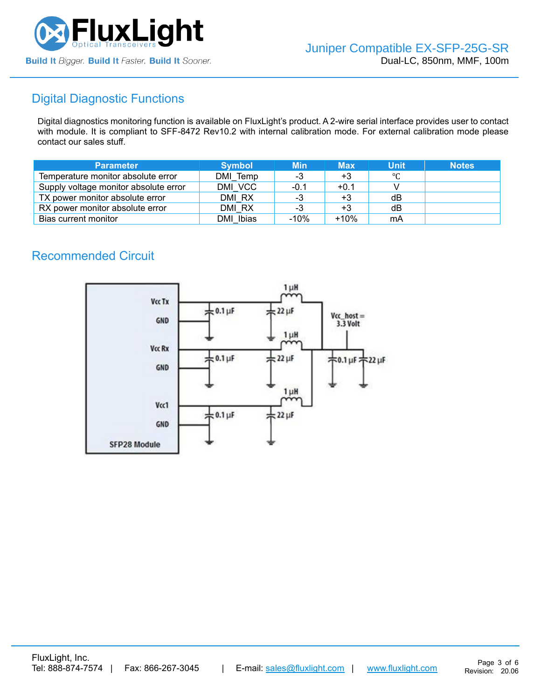

## Digital Diagnostic Functions

Digital diagnostics monitoring function is available on FluxLight's product. A 2-wire serial interface provides user to contact with module. It is compliant to SFF-8472 Rev10.2 with internal calibration mode. For external calibration mode please contact our sales stuff.

| <b>Parameter</b>                      | <b>Symbol</b> | <b>Min</b> | <b>Max</b> | Unit | <b>Notes</b> |
|---------------------------------------|---------------|------------|------------|------|--------------|
| Temperature monitor absolute error    | DMI Temp      | -3         | $+3$       | °C   |              |
| Supply voltage monitor absolute error | DMI VCC       | -0.1       | $+0.1$     |      |              |
| TX power monitor absolute error       | DMI RX        | -3         | $+3$       | dB   |              |
| RX power monitor absolute error       | DMI RX        | -3         | $+3$       | dB   |              |
| Bias current monitor                  | DMI Ibias     | $-10%$     | $+10%$     | mA   |              |

## Recommended Circuit

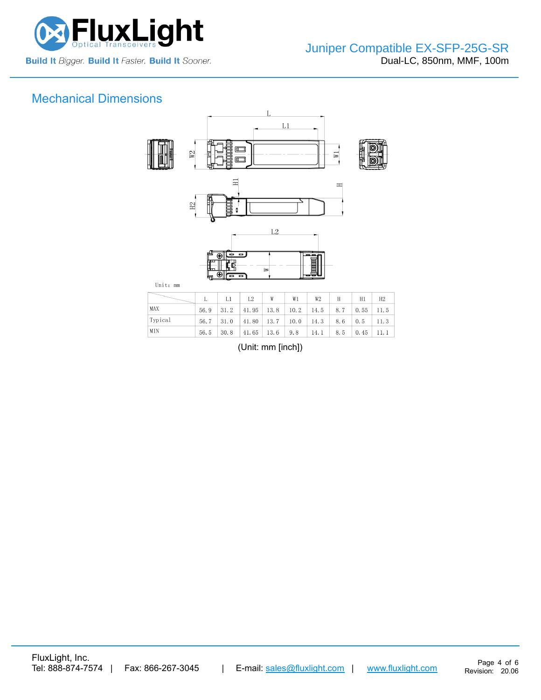

# Mechanical Dimensions



|         |      | $L1 \mid L2$ |                                                                                           | W | W1 | W2 | H                     | H1 | H2 |
|---------|------|--------------|-------------------------------------------------------------------------------------------|---|----|----|-----------------------|----|----|
| MAX     | 56.9 |              | $\vert 31.2 \vert 41.95 \vert 13.8 \vert 10.2 \vert 14.5 \vert 8.7 \vert 0.55 \vert 11.5$ |   |    |    |                       |    |    |
| Typical |      |              | $56.7$   31.0   41.80   13.7   10.0   14.3   8.6   0.5   11.3                             |   |    |    |                       |    |    |
| MIN     | 56.5 |              | $\vert 30.8 \vert 41.65 \vert 13.6 \vert 9.8 \vert 14.1 \vert$                            |   |    |    | $8.5 \t 0.45 \t 11.1$ |    |    |

(Unit: mm [inch])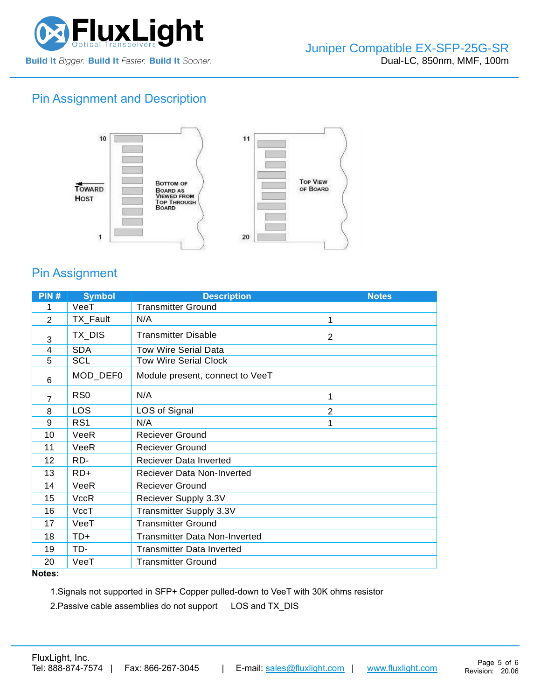

## Pin Assignment and Description



## Pin Assignment

| PIN#           | <b>Symbol</b>   | <b>Description</b>                   | <b>Notes</b>   |
|----------------|-----------------|--------------------------------------|----------------|
| 1              | VeeT            | <b>Transmitter Ground</b>            |                |
| 2              | TX_Fault        | N/A                                  | 1              |
| 3              | TX_DIS          | <b>Transmitter Disable</b>           | 2              |
| 4              | <b>SDA</b>      | <b>Tow Wire Serial Data</b>          |                |
| 5              | <b>SCL</b>      | <b>Tow Wire Serial Clock</b>         |                |
| 6              | MOD_DEF0        | Module present, connect to VeeT      |                |
| $\overline{7}$ | R <sub>S0</sub> | N/A                                  | 1              |
| 8              | LOS             | LOS of Signal                        | $\overline{2}$ |
| 9              | RS <sub>1</sub> | N/A                                  |                |
| 10             | VeeR            | <b>Reciever Ground</b>               |                |
| 11             | VeeR            | <b>Reciever Ground</b>               |                |
| 12             | RD-             | Reciever Data Inverted               |                |
| 13             | RD+             | <b>Reciever Data Non-Inverted</b>    |                |
| 14             | VeeR            | <b>Reciever Ground</b>               |                |
| 15             | <b>VccR</b>     | Reciever Supply 3.3V                 |                |
| 16             | VccT            | Transmitter Supply 3.3V              |                |
| 17             | VeeT            | <b>Transmitter Ground</b>            |                |
| 18             | TD+             | <b>Transmitter Data Non-Inverted</b> |                |
| 19             | TD-             | <b>Transmitter Data Inverted</b>     |                |
| 20             | VeeT            | <b>Transmitter Ground</b>            |                |

#### **Notes:**

1.Signals not supported in SFP+ Copper pulled-down to VeeT with 30K ohms resistor

2.Passive cable assemblies do not support LOS and TX\_DIS